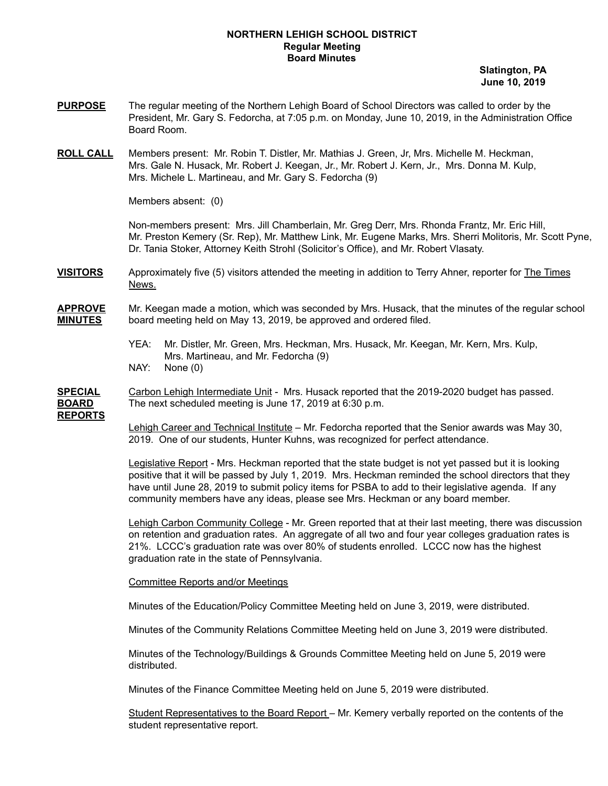#### **NORTHERN LEHIGH SCHOOL DISTRICT Regular Meeting Board Minutes**

**Slatington, PA June 10, 2019**

- **PURPOSE** The regular meeting of the Northern Lehigh Board of School Directors was called to order by the President, Mr. Gary S. Fedorcha, at 7:05 p.m. on Monday, June 10, 2019, in the Administration Office Board Room.
- **ROLL CALL** Members present: Mr. Robin T. Distler, Mr. Mathias J. Green, Jr, Mrs. Michelle M. Heckman, Mrs. Gale N. Husack, Mr. Robert J. Keegan, Jr., Mr. Robert J. Kern, Jr., Mrs. Donna M. Kulp, Mrs. Michele L. Martineau, and Mr. Gary S. Fedorcha (9)

Members absent: (0)

Non-members present: Mrs. Jill Chamberlain, Mr. Greg Derr, Mrs. Rhonda Frantz, Mr. Eric Hill, Mr. Preston Kemery (Sr. Rep), Mr. Matthew Link, Mr. Eugene Marks, Mrs. Sherri Molitoris, Mr. Scott Pyne, Dr. Tania Stoker, Attorney Keith Strohl (Solicitor's Office), and Mr. Robert Vlasaty.

**VISITORS** Approximately five (5) visitors attended the meeting in addition to Terry Ahner, reporter for The Times News.

**APPROVE** Mr. Keegan made a motion, which was seconded by Mrs. Husack, that the minutes of the regular school **MINUTES** board meeting held on May 13, 2019, be approved and ordered filed.

- YEA: Mr. Distler, Mr. Green, Mrs. Heckman, Mrs. Husack, Mr. Keegan, Mr. Kern, Mrs. Kulp, Mrs. Martineau, and Mr. Fedorcha (9)
- NAY: None (0)

**SPECIAL** Carbon Lehigh Intermediate Unit - Mrs. Husack reported that the 2019-2020 budget has passed. **BOARD** The next scheduled meeting is June 17, 2019 at 6:30 p.m.

**REPORTS**

Lehigh Career and Technical Institute – Mr. Fedorcha reported that the Senior awards was May 30, 2019. One of our students, Hunter Kuhns, was recognized for perfect attendance.

Legislative Report - Mrs. Heckman reported that the state budget is not yet passed but it is looking positive that it will be passed by July 1, 2019. Mrs. Heckman reminded the school directors that they have until June 28, 2019 to submit policy items for PSBA to add to their legislative agenda. If any community members have any ideas, please see Mrs. Heckman or any board member.

Lehigh Carbon Community College - Mr. Green reported that at their last meeting, there was discussion on retention and graduation rates. An aggregate of all two and four year colleges graduation rates is 21%. LCCC's graduation rate was over 80% of students enrolled. LCCC now has the highest graduation rate in the state of Pennsylvania.

Committee Reports and/or Meetings

Minutes of the Education/Policy Committee Meeting held on June 3, 2019, were distributed.

Minutes of the Community Relations Committee Meeting held on June 3, 2019 were distributed.

Minutes of the Technology/Buildings & Grounds Committee Meeting held on June 5, 2019 were distributed.

Minutes of the Finance Committee Meeting held on June 5, 2019 were distributed.

Student Representatives to the Board Report – Mr. Kemery verbally reported on the contents of the student representative report.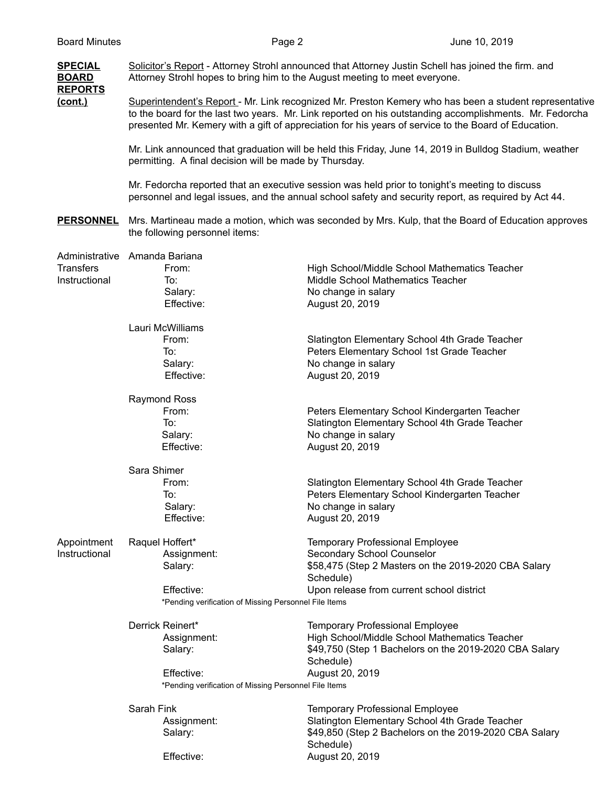| <b>SPECIAL</b><br><b>BOARD</b> | Solicitor's Report - Attorney Strohl announced that Attorney Justin Schell has joined the firm. and<br>Attorney Strohl hopes to bring him to the August meeting to meet everyone.                                                                                                                                         |                                                                   |  |
|--------------------------------|---------------------------------------------------------------------------------------------------------------------------------------------------------------------------------------------------------------------------------------------------------------------------------------------------------------------------|-------------------------------------------------------------------|--|
| <b>REPORTS</b><br>(cont.)      | Superintendent's Report - Mr. Link recognized Mr. Preston Kemery who has been a student representative<br>to the board for the last two years. Mr. Link reported on his outstanding accomplishments. Mr. Fedorcha<br>presented Mr. Kemery with a gift of appreciation for his years of service to the Board of Education. |                                                                   |  |
|                                | Mr. Link announced that graduation will be held this Friday, June 14, 2019 in Bulldog Stadium, weather<br>permitting. A final decision will be made by Thursday.                                                                                                                                                          |                                                                   |  |
|                                | Mr. Fedorcha reported that an executive session was held prior to tonight's meeting to discuss<br>personnel and legal issues, and the annual school safety and security report, as required by Act 44.                                                                                                                    |                                                                   |  |
| <b>PERSONNEL</b>               | Mrs. Martineau made a motion, which was seconded by Mrs. Kulp, that the Board of Education approves<br>the following personnel items:                                                                                                                                                                                     |                                                                   |  |
|                                | Administrative Amanda Bariana                                                                                                                                                                                                                                                                                             |                                                                   |  |
| <b>Transfers</b>               | From:                                                                                                                                                                                                                                                                                                                     | High School/Middle School Mathematics Teacher                     |  |
| Instructional                  | To:                                                                                                                                                                                                                                                                                                                       | Middle School Mathematics Teacher                                 |  |
|                                | Salary:                                                                                                                                                                                                                                                                                                                   | No change in salary                                               |  |
|                                | Effective:                                                                                                                                                                                                                                                                                                                | August 20, 2019                                                   |  |
|                                | Lauri McWilliams                                                                                                                                                                                                                                                                                                          |                                                                   |  |
|                                | From:                                                                                                                                                                                                                                                                                                                     | Slatington Elementary School 4th Grade Teacher                    |  |
|                                | To:                                                                                                                                                                                                                                                                                                                       | Peters Elementary School 1st Grade Teacher                        |  |
|                                | Salary:                                                                                                                                                                                                                                                                                                                   | No change in salary                                               |  |
|                                | Effective:                                                                                                                                                                                                                                                                                                                | August 20, 2019                                                   |  |
|                                | <b>Raymond Ross</b>                                                                                                                                                                                                                                                                                                       |                                                                   |  |
|                                | From:                                                                                                                                                                                                                                                                                                                     | Peters Elementary School Kindergarten Teacher                     |  |
|                                | To:                                                                                                                                                                                                                                                                                                                       | Slatington Elementary School 4th Grade Teacher                    |  |
|                                | Salary:                                                                                                                                                                                                                                                                                                                   | No change in salary                                               |  |
|                                | Effective:                                                                                                                                                                                                                                                                                                                | August 20, 2019                                                   |  |
|                                | Sara Shimer                                                                                                                                                                                                                                                                                                               |                                                                   |  |
|                                | From:                                                                                                                                                                                                                                                                                                                     | Slatington Elementary School 4th Grade Teacher                    |  |
|                                | To:                                                                                                                                                                                                                                                                                                                       | Peters Elementary School Kindergarten Teacher                     |  |
|                                | Salary:                                                                                                                                                                                                                                                                                                                   | No change in salary                                               |  |
|                                | Effective:                                                                                                                                                                                                                                                                                                                | August 20, 2019                                                   |  |
| Appointment                    | Raquel Hoffert*                                                                                                                                                                                                                                                                                                           | <b>Temporary Professional Employee</b>                            |  |
| Instructional                  | Assignment:                                                                                                                                                                                                                                                                                                               | Secondary School Counselor                                        |  |
|                                | Salary:                                                                                                                                                                                                                                                                                                                   | \$58,475 (Step 2 Masters on the 2019-2020 CBA Salary<br>Schedule) |  |
|                                | Effective:                                                                                                                                                                                                                                                                                                                | Upon release from current school district                         |  |
|                                | *Pending verification of Missing Personnel File Items                                                                                                                                                                                                                                                                     |                                                                   |  |
|                                | Derrick Reinert*                                                                                                                                                                                                                                                                                                          | <b>Temporary Professional Employee</b>                            |  |
|                                | Assignment:                                                                                                                                                                                                                                                                                                               | High School/Middle School Mathematics Teacher                     |  |
|                                | Salary:                                                                                                                                                                                                                                                                                                                   | \$49,750 (Step 1 Bachelors on the 2019-2020 CBA Salary            |  |
|                                |                                                                                                                                                                                                                                                                                                                           | Schedule)                                                         |  |
|                                | Effective:                                                                                                                                                                                                                                                                                                                | August 20, 2019                                                   |  |
|                                | *Pending verification of Missing Personnel File Items                                                                                                                                                                                                                                                                     |                                                                   |  |
|                                | Sarah Fink                                                                                                                                                                                                                                                                                                                | <b>Temporary Professional Employee</b>                            |  |
|                                | Assignment:                                                                                                                                                                                                                                                                                                               | Slatington Elementary School 4th Grade Teacher                    |  |
|                                | Salary:                                                                                                                                                                                                                                                                                                                   | \$49,850 (Step 2 Bachelors on the 2019-2020 CBA Salary            |  |
|                                |                                                                                                                                                                                                                                                                                                                           | Schedule)                                                         |  |
|                                | Effective:                                                                                                                                                                                                                                                                                                                | August 20, 2019                                                   |  |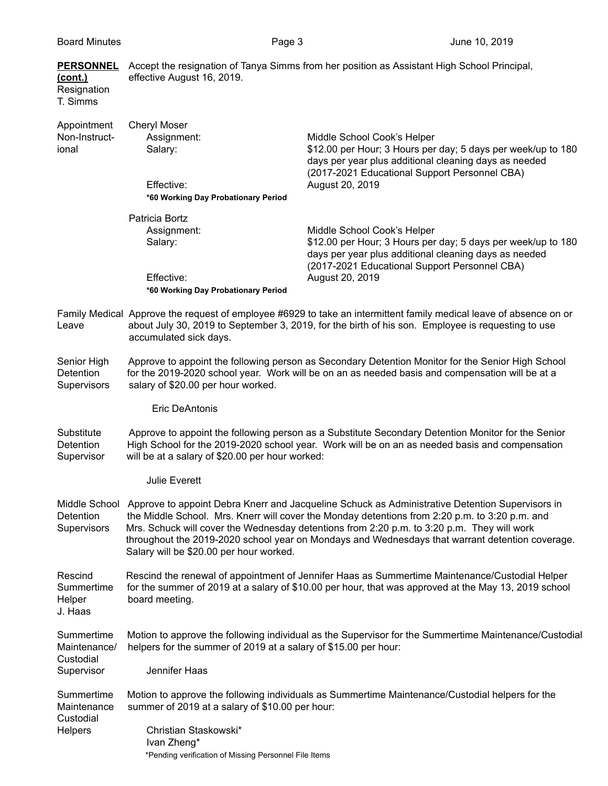| <b>Board Minutes</b>                                   | Page 3                                                          | June 10, 2019                                                                                                                                                                                                                                                                                                                                                                                                    |
|--------------------------------------------------------|-----------------------------------------------------------------|------------------------------------------------------------------------------------------------------------------------------------------------------------------------------------------------------------------------------------------------------------------------------------------------------------------------------------------------------------------------------------------------------------------|
| <b>PERSONNEL</b><br>(cont.)<br>Resignation<br>T. Simms | effective August 16, 2019.                                      | Accept the resignation of Tanya Simms from her position as Assistant High School Principal,                                                                                                                                                                                                                                                                                                                      |
| Appointment<br>Non-Instruct-<br>ional                  | <b>Cheryl Moser</b><br>Assignment:<br>Salary:<br>Effective:     | Middle School Cook's Helper<br>\$12.00 per Hour; 3 Hours per day; 5 days per week/up to 180<br>days per year plus additional cleaning days as needed<br>(2017-2021 Educational Support Personnel CBA)<br>August 20, 2019                                                                                                                                                                                         |
|                                                        | *60 Working Day Probationary Period                             |                                                                                                                                                                                                                                                                                                                                                                                                                  |
|                                                        | Patricia Bortz<br>Assignment:<br>Salary:<br>Effective:          | Middle School Cook's Helper<br>\$12.00 per Hour; 3 Hours per day; 5 days per week/up to 180<br>days per year plus additional cleaning days as needed<br>(2017-2021 Educational Support Personnel CBA)<br>August 20, 2019                                                                                                                                                                                         |
|                                                        | *60 Working Day Probationary Period                             |                                                                                                                                                                                                                                                                                                                                                                                                                  |
| Leave                                                  | accumulated sick days.                                          | Family Medical Approve the request of employee #6929 to take an intermittent family medical leave of absence on or<br>about July 30, 2019 to September 3, 2019, for the birth of his son. Employee is requesting to use                                                                                                                                                                                          |
| Senior High<br>Detention<br>Supervisors                | salary of \$20.00 per hour worked.                              | Approve to appoint the following person as Secondary Detention Monitor for the Senior High School<br>for the 2019-2020 school year. Work will be on an as needed basis and compensation will be at a                                                                                                                                                                                                             |
|                                                        | Eric DeAntonis                                                  |                                                                                                                                                                                                                                                                                                                                                                                                                  |
| Substitute<br>Detention<br>Supervisor                  | will be at a salary of \$20.00 per hour worked:                 | Approve to appoint the following person as a Substitute Secondary Detention Monitor for the Senior<br>High School for the 2019-2020 school year. Work will be on an as needed basis and compensation                                                                                                                                                                                                             |
|                                                        | <b>Julie Everett</b>                                            |                                                                                                                                                                                                                                                                                                                                                                                                                  |
| Detention<br>Supervisors                               | Salary will be \$20.00 per hour worked.                         | Middle School Approve to appoint Debra Knerr and Jacqueline Schuck as Administrative Detention Supervisors in<br>the Middle School. Mrs. Knerr will cover the Monday detentions from 2:20 p.m. to 3:20 p.m. and<br>Mrs. Schuck will cover the Wednesday detentions from 2:20 p.m. to 3:20 p.m. They will work<br>throughout the 2019-2020 school year on Mondays and Wednesdays that warrant detention coverage. |
| Rescind<br>Summertime<br>Helper<br>J. Haas             | board meeting.                                                  | Rescind the renewal of appointment of Jennifer Haas as Summertime Maintenance/Custodial Helper<br>for the summer of 2019 at a salary of \$10.00 per hour, that was approved at the May 13, 2019 school                                                                                                                                                                                                           |
| Summertime<br>Maintenance/<br>Custodial                | helpers for the summer of 2019 at a salary of \$15.00 per hour: | Motion to approve the following individual as the Supervisor for the Summertime Maintenance/Custodial                                                                                                                                                                                                                                                                                                            |
| Supervisor                                             | Jennifer Haas                                                   |                                                                                                                                                                                                                                                                                                                                                                                                                  |
| Summertime<br>Maintenance<br>Custodial                 | summer of 2019 at a salary of \$10.00 per hour:                 | Motion to approve the following individuals as Summertime Maintenance/Custodial helpers for the                                                                                                                                                                                                                                                                                                                  |
| Helpers                                                | Christian Staskowski*                                           |                                                                                                                                                                                                                                                                                                                                                                                                                  |

Ivan Zheng\*

\*Pending verification of Missing Personnel File Items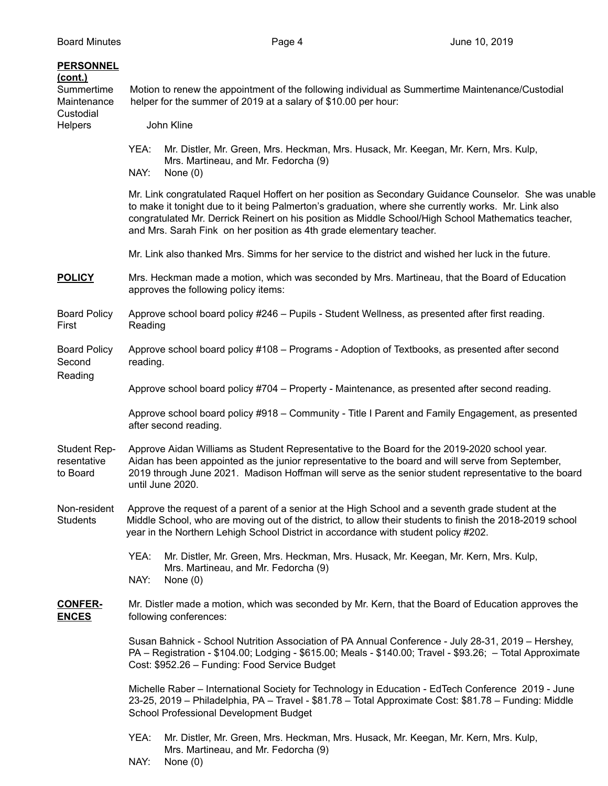| <b>PERSONNEL</b><br>(cont.)<br>Summertime<br>Maintenance | Motion to renew the appointment of the following individual as Summertime Maintenance/Custodial<br>helper for the summer of 2019 at a salary of \$10.00 per hour:<br>John Kline                                                                                                                                                                                                             |                                                                                                                                                                                                                                                                                                       |  |
|----------------------------------------------------------|---------------------------------------------------------------------------------------------------------------------------------------------------------------------------------------------------------------------------------------------------------------------------------------------------------------------------------------------------------------------------------------------|-------------------------------------------------------------------------------------------------------------------------------------------------------------------------------------------------------------------------------------------------------------------------------------------------------|--|
| Custodial<br><b>Helpers</b>                              |                                                                                                                                                                                                                                                                                                                                                                                             |                                                                                                                                                                                                                                                                                                       |  |
|                                                          | YEA:<br>NAY:                                                                                                                                                                                                                                                                                                                                                                                | Mr. Distler, Mr. Green, Mrs. Heckman, Mrs. Husack, Mr. Keegan, Mr. Kern, Mrs. Kulp,<br>Mrs. Martineau, and Mr. Fedorcha (9)<br>None $(0)$                                                                                                                                                             |  |
|                                                          | Mr. Link congratulated Raquel Hoffert on her position as Secondary Guidance Counselor. She was unable<br>to make it tonight due to it being Palmerton's graduation, where she currently works. Mr. Link also<br>congratulated Mr. Derrick Reinert on his position as Middle School/High School Mathematics teacher,<br>and Mrs. Sarah Fink on her position as 4th grade elementary teacher. |                                                                                                                                                                                                                                                                                                       |  |
|                                                          | Mr. Link also thanked Mrs. Simms for her service to the district and wished her luck in the future.                                                                                                                                                                                                                                                                                         |                                                                                                                                                                                                                                                                                                       |  |
| <b>POLICY</b>                                            | Mrs. Heckman made a motion, which was seconded by Mrs. Martineau, that the Board of Education<br>approves the following policy items:                                                                                                                                                                                                                                                       |                                                                                                                                                                                                                                                                                                       |  |
| <b>Board Policy</b><br>First                             | Approve school board policy #246 - Pupils - Student Wellness, as presented after first reading.<br>Reading                                                                                                                                                                                                                                                                                  |                                                                                                                                                                                                                                                                                                       |  |
| <b>Board Policy</b><br>Second                            | Approve school board policy #108 - Programs - Adoption of Textbooks, as presented after second<br>reading.                                                                                                                                                                                                                                                                                  |                                                                                                                                                                                                                                                                                                       |  |
| Reading                                                  | Approve school board policy #704 - Property - Maintenance, as presented after second reading.                                                                                                                                                                                                                                                                                               |                                                                                                                                                                                                                                                                                                       |  |
|                                                          | Approve school board policy #918 - Community - Title I Parent and Family Engagement, as presented<br>after second reading.                                                                                                                                                                                                                                                                  |                                                                                                                                                                                                                                                                                                       |  |
| <b>Student Rep-</b><br>resentative<br>to Board           | Approve Aidan Williams as Student Representative to the Board for the 2019-2020 school year.<br>Aidan has been appointed as the junior representative to the board and will serve from September,<br>2019 through June 2021. Madison Hoffman will serve as the senior student representative to the board<br>until June 2020.                                                               |                                                                                                                                                                                                                                                                                                       |  |
| Non-resident<br><b>Students</b>                          |                                                                                                                                                                                                                                                                                                                                                                                             | Approve the request of a parent of a senior at the High School and a seventh grade student at the<br>Middle School, who are moving out of the district, to allow their students to finish the 2018-2019 school<br>year in the Northern Lehigh School District in accordance with student policy #202. |  |
|                                                          | YEA:<br>NAY:                                                                                                                                                                                                                                                                                                                                                                                | Mr. Distler, Mr. Green, Mrs. Heckman, Mrs. Husack, Mr. Keegan, Mr. Kern, Mrs. Kulp,<br>Mrs. Martineau, and Mr. Fedorcha (9)<br>None $(0)$                                                                                                                                                             |  |
| <b>CONFER-</b><br><b>ENCES</b>                           |                                                                                                                                                                                                                                                                                                                                                                                             | Mr. Distler made a motion, which was seconded by Mr. Kern, that the Board of Education approves the<br>following conferences:                                                                                                                                                                         |  |
|                                                          | Susan Bahnick - School Nutrition Association of PA Annual Conference - July 28-31, 2019 - Hershey,<br>PA - Registration - \$104.00; Lodging - \$615.00; Meals - \$140.00; Travel - \$93.26; - Total Approximate<br>Cost: \$952.26 - Funding: Food Service Budget                                                                                                                            |                                                                                                                                                                                                                                                                                                       |  |
|                                                          | Michelle Raber - International Society for Technology in Education - EdTech Conference 2019 - June<br>23-25, 2019 - Philadelphia, PA - Travel - \$81.78 - Total Approximate Cost: \$81.78 - Funding: Middle<br>School Professional Development Budget                                                                                                                                       |                                                                                                                                                                                                                                                                                                       |  |
|                                                          | YEA:<br>NAY:                                                                                                                                                                                                                                                                                                                                                                                | Mr. Distler, Mr. Green, Mrs. Heckman, Mrs. Husack, Mr. Keegan, Mr. Kern, Mrs. Kulp,<br>Mrs. Martineau, and Mr. Fedorcha (9)<br>None $(0)$                                                                                                                                                             |  |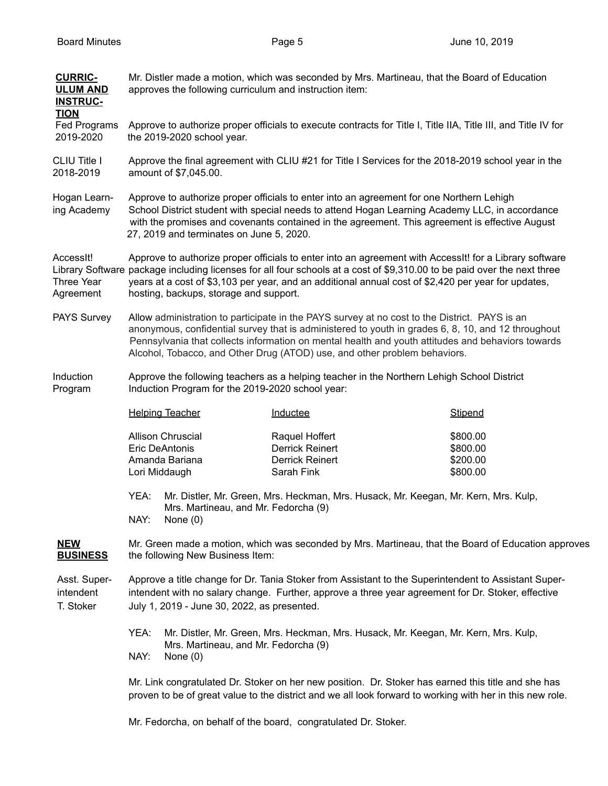| <b>CURRIC-</b><br><b>ULUM AND</b><br><b>INSTRUC-</b> | Mr. Distler made a motion, which was seconded by Mrs. Martineau, that the Board of Education<br>approves the following curriculum and instruction item:                                                                                                                                                                                                                            |                                                                                                                                                                                                                                                                                                                                                                                       |                                                                                                     |
|------------------------------------------------------|------------------------------------------------------------------------------------------------------------------------------------------------------------------------------------------------------------------------------------------------------------------------------------------------------------------------------------------------------------------------------------|---------------------------------------------------------------------------------------------------------------------------------------------------------------------------------------------------------------------------------------------------------------------------------------------------------------------------------------------------------------------------------------|-----------------------------------------------------------------------------------------------------|
| <b>TION</b><br>Fed Programs<br>2019-2020             | the 2019-2020 school year.                                                                                                                                                                                                                                                                                                                                                         | Approve to authorize proper officials to execute contracts for Title I, Title IIA, Title III, and Title IV for                                                                                                                                                                                                                                                                        |                                                                                                     |
| CLIU Title I<br>2018-2019                            | Approve the final agreement with CLIU #21 for Title I Services for the 2018-2019 school year in the<br>amount of \$7,045.00.                                                                                                                                                                                                                                                       |                                                                                                                                                                                                                                                                                                                                                                                       |                                                                                                     |
| Hogan Learn-<br>ing Academy                          | Approve to authorize proper officials to enter into an agreement for one Northern Lehigh<br>School District student with special needs to attend Hogan Learning Academy LLC, in accordance<br>with the promises and covenants contained in the agreement. This agreement is effective August<br>27, 2019 and terminates on June 5, 2020.                                           |                                                                                                                                                                                                                                                                                                                                                                                       |                                                                                                     |
| Accessit!<br>Three Year<br>Agreement                 | Approve to authorize proper officials to enter into an agreement with AccessIt! for a Library software<br>Library Software package including licenses for all four schools at a cost of \$9,310.00 to be paid over the next three<br>years at a cost of \$3,103 per year, and an additional annual cost of \$2,420 per year for updates,<br>hosting, backups, storage and support. |                                                                                                                                                                                                                                                                                                                                                                                       |                                                                                                     |
| PAYS Survey                                          |                                                                                                                                                                                                                                                                                                                                                                                    | Allow administration to participate in the PAYS survey at no cost to the District. PAYS is an<br>anonymous, confidential survey that is administered to youth in grades 6, 8, 10, and 12 throughout<br>Pennsylvania that collects information on mental health and youth attitudes and behaviors towards<br>Alcohol, Tobacco, and Other Drug (ATOD) use, and other problem behaviors. |                                                                                                     |
| Induction<br>Program                                 | Induction Program for the 2019-2020 school year:                                                                                                                                                                                                                                                                                                                                   | Approve the following teachers as a helping teacher in the Northern Lehigh School District                                                                                                                                                                                                                                                                                            |                                                                                                     |
|                                                      | <b>Helping Teacher</b>                                                                                                                                                                                                                                                                                                                                                             | Inductee                                                                                                                                                                                                                                                                                                                                                                              | Stipend                                                                                             |
|                                                      | Allison Chruscial<br>Eric DeAntonis<br>Amanda Bariana<br>Lori Middaugh                                                                                                                                                                                                                                                                                                             | Raquel Hoffert<br><b>Derrick Reinert</b><br><b>Derrick Reinert</b><br>Sarah Fink                                                                                                                                                                                                                                                                                                      | \$800.00<br>\$800.00<br>\$200.00<br>\$800.00                                                        |
|                                                      | YEA:<br>Mrs. Martineau, and Mr. Fedorcha (9)<br>NAY: None (0)                                                                                                                                                                                                                                                                                                                      | Mr. Distler, Mr. Green, Mrs. Heckman, Mrs. Husack, Mr. Keegan, Mr. Kern, Mrs. Kulp,                                                                                                                                                                                                                                                                                                   |                                                                                                     |
| <u>NEW</u><br><b>BUSINESS</b>                        | the following New Business Item:                                                                                                                                                                                                                                                                                                                                                   |                                                                                                                                                                                                                                                                                                                                                                                       | Mr. Green made a motion, which was seconded by Mrs. Martineau, that the Board of Education approves |
| Asst. Super-<br>intendent<br>T. Stoker               | Approve a title change for Dr. Tania Stoker from Assistant to the Superintendent to Assistant Super-<br>intendent with no salary change. Further, approve a three year agreement for Dr. Stoker, effective<br>July 1, 2019 - June 30, 2022, as presented.                                                                                                                          |                                                                                                                                                                                                                                                                                                                                                                                       |                                                                                                     |
|                                                      | YEA:<br>Mrs. Martineau, and Mr. Fedorcha (9)<br>NAY:<br>None $(0)$                                                                                                                                                                                                                                                                                                                 | Mr. Distler, Mr. Green, Mrs. Heckman, Mrs. Husack, Mr. Keegan, Mr. Kern, Mrs. Kulp,                                                                                                                                                                                                                                                                                                   |                                                                                                     |
|                                                      |                                                                                                                                                                                                                                                                                                                                                                                    | Mr. Link congratulated Dr. Stoker on her new position. Dr. Stoker has earned this title and she has<br>proven to be of great value to the district and we all look forward to working with her in this new role.                                                                                                                                                                      |                                                                                                     |
|                                                      |                                                                                                                                                                                                                                                                                                                                                                                    | Mr. Fedorcha, on behalf of the board, congratulated Dr. Stoker.                                                                                                                                                                                                                                                                                                                       |                                                                                                     |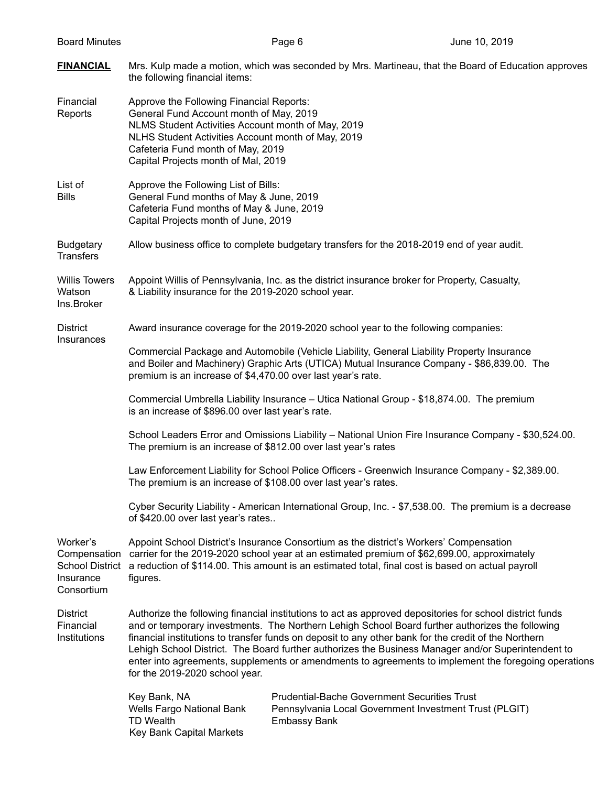| <b>Board Minutes</b>                                                          |                                                                                                                                                                                                                                                                                                                                                                                                                                                                                                                                                                     | Page 6                                                                                                                                                                                                                                                                                     | June 10, 2019 |
|-------------------------------------------------------------------------------|---------------------------------------------------------------------------------------------------------------------------------------------------------------------------------------------------------------------------------------------------------------------------------------------------------------------------------------------------------------------------------------------------------------------------------------------------------------------------------------------------------------------------------------------------------------------|--------------------------------------------------------------------------------------------------------------------------------------------------------------------------------------------------------------------------------------------------------------------------------------------|---------------|
| <b>FINANCIAL</b>                                                              | the following financial items:                                                                                                                                                                                                                                                                                                                                                                                                                                                                                                                                      | Mrs. Kulp made a motion, which was seconded by Mrs. Martineau, that the Board of Education approves                                                                                                                                                                                        |               |
| Financial<br>Reports                                                          | Approve the Following Financial Reports:<br>General Fund Account month of May, 2019<br>NLMS Student Activities Account month of May, 2019<br>NLHS Student Activities Account month of May, 2019<br>Cafeteria Fund month of May, 2019<br>Capital Projects month of Mal, 2019                                                                                                                                                                                                                                                                                         |                                                                                                                                                                                                                                                                                            |               |
| List of<br><b>Bills</b>                                                       | Approve the Following List of Bills:<br>General Fund months of May & June, 2019<br>Cafeteria Fund months of May & June, 2019<br>Capital Projects month of June, 2019                                                                                                                                                                                                                                                                                                                                                                                                |                                                                                                                                                                                                                                                                                            |               |
| <b>Budgetary</b><br><b>Transfers</b>                                          |                                                                                                                                                                                                                                                                                                                                                                                                                                                                                                                                                                     | Allow business office to complete budgetary transfers for the 2018-2019 end of year audit.                                                                                                                                                                                                 |               |
| <b>Willis Towers</b><br>Watson<br>Ins.Broker                                  | & Liability insurance for the 2019-2020 school year.                                                                                                                                                                                                                                                                                                                                                                                                                                                                                                                | Appoint Willis of Pennsylvania, Inc. as the district insurance broker for Property, Casualty,                                                                                                                                                                                              |               |
| <b>District</b>                                                               |                                                                                                                                                                                                                                                                                                                                                                                                                                                                                                                                                                     | Award insurance coverage for the 2019-2020 school year to the following companies:                                                                                                                                                                                                         |               |
| Insurances                                                                    | Commercial Package and Automobile (Vehicle Liability, General Liability Property Insurance<br>and Boiler and Machinery) Graphic Arts (UTICA) Mutual Insurance Company - \$86,839.00. The<br>premium is an increase of \$4,470.00 over last year's rate.                                                                                                                                                                                                                                                                                                             |                                                                                                                                                                                                                                                                                            |               |
|                                                                               | is an increase of \$896.00 over last year's rate.                                                                                                                                                                                                                                                                                                                                                                                                                                                                                                                   | Commercial Umbrella Liability Insurance - Utica National Group - \$18,874.00. The premium                                                                                                                                                                                                  |               |
|                                                                               | School Leaders Error and Omissions Liability - National Union Fire Insurance Company - \$30,524.00.<br>The premium is an increase of \$812.00 over last year's rates                                                                                                                                                                                                                                                                                                                                                                                                |                                                                                                                                                                                                                                                                                            |               |
|                                                                               | Law Enforcement Liability for School Police Officers - Greenwich Insurance Company - \$2,389.00.<br>The premium is an increase of \$108.00 over last year's rates.                                                                                                                                                                                                                                                                                                                                                                                                  |                                                                                                                                                                                                                                                                                            |               |
|                                                                               | Cyber Security Liability - American International Group, Inc. - \$7,538.00. The premium is a decrease<br>of \$420.00 over last year's rates                                                                                                                                                                                                                                                                                                                                                                                                                         |                                                                                                                                                                                                                                                                                            |               |
| Worker's<br>Compensation<br><b>School District</b><br>Insurance<br>Consortium | figures.                                                                                                                                                                                                                                                                                                                                                                                                                                                                                                                                                            | Appoint School District's Insurance Consortium as the district's Workers' Compensation<br>carrier for the 2019-2020 school year at an estimated premium of \$62,699.00, approximately<br>a reduction of \$114.00. This amount is an estimated total, final cost is based on actual payroll |               |
| <b>District</b><br>Financial<br>Institutions                                  | Authorize the following financial institutions to act as approved depositories for school district funds<br>and or temporary investments. The Northern Lehigh School Board further authorizes the following<br>financial institutions to transfer funds on deposit to any other bank for the credit of the Northern<br>Lehigh School District. The Board further authorizes the Business Manager and/or Superintendent to<br>enter into agreements, supplements or amendments to agreements to implement the foregoing operations<br>for the 2019-2020 school year. |                                                                                                                                                                                                                                                                                            |               |
|                                                                               | Key Bank, NA<br>Wells Fargo National Bank<br><b>TD Wealth</b><br>Key Bank Capital Markets                                                                                                                                                                                                                                                                                                                                                                                                                                                                           | <b>Prudential-Bache Government Securities Trust</b><br>Pennsylvania Local Government Investment Trust (PLGIT)<br><b>Embassy Bank</b>                                                                                                                                                       |               |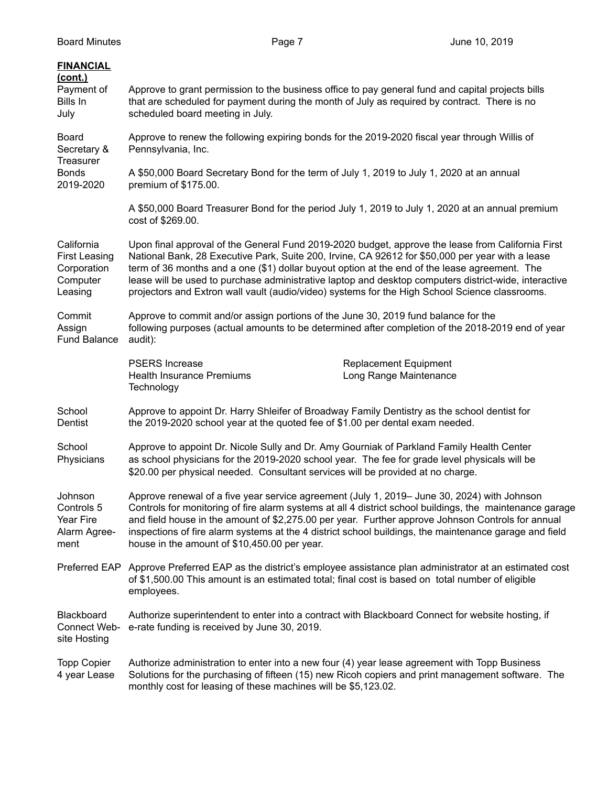| <b>FINANCIAL</b><br>(cont.)<br>Payment of<br>Bills In<br>July            | Approve to grant permission to the business office to pay general fund and capital projects bills<br>that are scheduled for payment during the month of July as required by contract. There is no<br>scheduled board meeting in July.                                                                                                                                                                                                                                                                             |  |  |
|--------------------------------------------------------------------------|-------------------------------------------------------------------------------------------------------------------------------------------------------------------------------------------------------------------------------------------------------------------------------------------------------------------------------------------------------------------------------------------------------------------------------------------------------------------------------------------------------------------|--|--|
| <b>Board</b><br>Secretary &<br>Treasurer                                 | Approve to renew the following expiring bonds for the 2019-2020 fiscal year through Willis of<br>Pennsylvania, Inc.                                                                                                                                                                                                                                                                                                                                                                                               |  |  |
| <b>Bonds</b><br>2019-2020                                                | A \$50,000 Board Secretary Bond for the term of July 1, 2019 to July 1, 2020 at an annual<br>premium of \$175.00.                                                                                                                                                                                                                                                                                                                                                                                                 |  |  |
|                                                                          | A \$50,000 Board Treasurer Bond for the period July 1, 2019 to July 1, 2020 at an annual premium<br>cost of \$269.00.                                                                                                                                                                                                                                                                                                                                                                                             |  |  |
| California<br><b>First Leasing</b><br>Corporation<br>Computer<br>Leasing | Upon final approval of the General Fund 2019-2020 budget, approve the lease from California First<br>National Bank, 28 Executive Park, Suite 200, Irvine, CA 92612 for \$50,000 per year with a lease<br>term of 36 months and a one (\$1) dollar buyout option at the end of the lease agreement. The<br>lease will be used to purchase administrative laptop and desktop computers district-wide, interactive<br>projectors and Extron wall vault (audio/video) systems for the High School Science classrooms. |  |  |
| Commit<br>Assign<br><b>Fund Balance</b>                                  | Approve to commit and/or assign portions of the June 30, 2019 fund balance for the<br>following purposes (actual amounts to be determined after completion of the 2018-2019 end of year<br>audit):                                                                                                                                                                                                                                                                                                                |  |  |
|                                                                          | <b>PSERS</b> Increase<br><b>Replacement Equipment</b><br><b>Health Insurance Premiums</b><br>Long Range Maintenance<br>Technology                                                                                                                                                                                                                                                                                                                                                                                 |  |  |
| School<br>Dentist                                                        | Approve to appoint Dr. Harry Shleifer of Broadway Family Dentistry as the school dentist for<br>the 2019-2020 school year at the quoted fee of \$1.00 per dental exam needed.                                                                                                                                                                                                                                                                                                                                     |  |  |
| School<br>Physicians                                                     | Approve to appoint Dr. Nicole Sully and Dr. Amy Gourniak of Parkland Family Health Center<br>as school physicians for the 2019-2020 school year. The fee for grade level physicals will be<br>\$20.00 per physical needed. Consultant services will be provided at no charge.                                                                                                                                                                                                                                     |  |  |
| Johnson<br>Controls 5<br>Year Fire<br>Alarm Agree-<br>ment               | Approve renewal of a five year service agreement (July 1, 2019– June 30, 2024) with Johnson<br>Controls for monitoring of fire alarm systems at all 4 district school buildings, the maintenance garage<br>and field house in the amount of \$2,275.00 per year. Further approve Johnson Controls for annual<br>inspections of fire alarm systems at the 4 district school buildings, the maintenance garage and field<br>house in the amount of \$10,450.00 per year.                                            |  |  |
|                                                                          | Preferred EAP Approve Preferred EAP as the district's employee assistance plan administrator at an estimated cost<br>of \$1,500.00 This amount is an estimated total; final cost is based on total number of eligible<br>employees.                                                                                                                                                                                                                                                                               |  |  |
| Blackboard<br>Connect Web-<br>site Hosting                               | Authorize superintendent to enter into a contract with Blackboard Connect for website hosting, if<br>e-rate funding is received by June 30, 2019.                                                                                                                                                                                                                                                                                                                                                                 |  |  |
| <b>Topp Copier</b><br>4 year Lease                                       | Authorize administration to enter into a new four (4) year lease agreement with Topp Business<br>Solutions for the purchasing of fifteen (15) new Ricoh copiers and print management software. The<br>monthly cost for leasing of these machines will be \$5,123.02.                                                                                                                                                                                                                                              |  |  |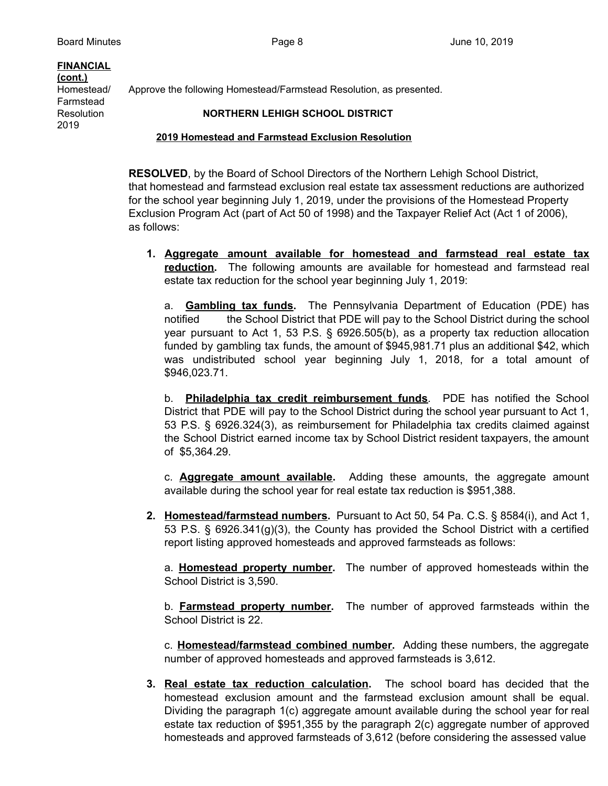# **FINANCIAL (cont.)** Farmstead

2019

Homestead/ Approve the following Homestead/Farmstead Resolution, as presented.

## Resolution **NORTHERN LEHIGH SCHOOL DISTRICT**

### **2019 Homestead and Farmstead Exclusion Resolution**

**RESOLVED**, by the Board of School Directors of the Northern Lehigh School District, that homestead and farmstead exclusion real estate tax assessment reductions are authorized for the school year beginning July 1, 2019, under the provisions of the Homestead Property Exclusion Program Act (part of Act 50 of 1998) and the Taxpayer Relief Act (Act 1 of 2006), as follows:

**1. Aggregate amount available for homestead and farmstead real estate tax reduction.** The following amounts are available for homestead and farmstead real estate tax reduction for the school year beginning July 1, 2019:

a. **Gambling tax funds.** The Pennsylvania Department of Education (PDE) has notified the School District that PDE will pay to the School District during the school year pursuant to Act 1, 53 P.S. § 6926.505(b), as a property tax reduction allocation funded by gambling tax funds, the amount of \$945,981.71 plus an additional \$42, which was undistributed school year beginning July 1, 2018, for a total amount of \$946,023.71.

b. **Philadelphia tax credit reimbursement funds**. PDE has notified the School District that PDE will pay to the School District during the school year pursuant to Act 1, 53 P.S. § 6926.324(3), as reimbursement for Philadelphia tax credits claimed against the School District earned income tax by School District resident taxpayers, the amount of \$5,364.29.

c. **Aggregate amount available.** Adding these amounts, the aggregate amount available during the school year for real estate tax reduction is \$951,388.

**2. Homestead/farmstead numbers.** Pursuant to Act 50, 54 Pa. C.S. § 8584(i), and Act 1, 53 P.S. § 6926.341(g)(3), the County has provided the School District with a certified report listing approved homesteads and approved farmsteads as follows:

a. **Homestead property number.** The number of approved homesteads within the School District is 3,590.

b. **Farmstead property number.** The number of approved farmsteads within the School District is 22.

c. **Homestead/farmstead combined number.** Adding these numbers, the aggregate number of approved homesteads and approved farmsteads is 3,612.

**3. Real estate tax reduction calculation.** The school board has decided that the homestead exclusion amount and the farmstead exclusion amount shall be equal. Dividing the paragraph 1(c) aggregate amount available during the school year for real estate tax reduction of \$951,355 by the paragraph 2(c) aggregate number of approved homesteads and approved farmsteads of 3,612 (before considering the assessed value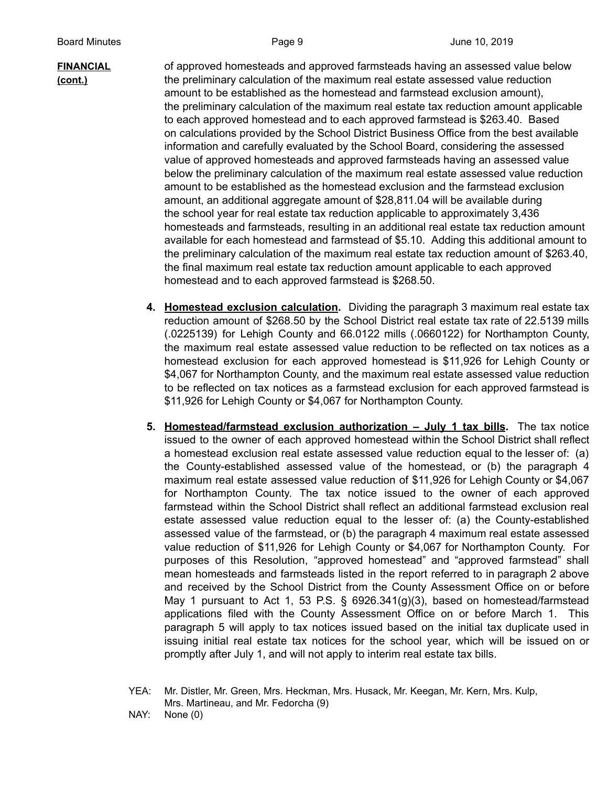**FINANCIAL** of approved homesteads and approved farmsteads having an assessed value below **(cont.)** the preliminary calculation of the maximum real estate assessed value reduction amount to be established as the homestead and farmstead exclusion amount), the preliminary calculation of the maximum real estate tax reduction amount applicable to each approved homestead and to each approved farmstead is \$263.40. Based on calculations provided by the School District Business Office from the best available information and carefully evaluated by the School Board, considering the assessed value of approved homesteads and approved farmsteads having an assessed value below the preliminary calculation of the maximum real estate assessed value reduction amount to be established as the homestead exclusion and the farmstead exclusion amount, an additional aggregate amount of \$28,811.04 will be available during the school year for real estate tax reduction applicable to approximately 3,436 homesteads and farmsteads, resulting in an additional real estate tax reduction amount available for each homestead and farmstead of \$5.10. Adding this additional amount to the preliminary calculation of the maximum real estate tax reduction amount of \$263.40, the final maximum real estate tax reduction amount applicable to each approved homestead and to each approved farmstead is \$268.50.

- **4. Homestead exclusion calculation.** Dividing the paragraph 3 maximum real estate tax reduction amount of \$268.50 by the School District real estate tax rate of 22.5139 mills (.0225139) for Lehigh County and 66.0122 mills (.0660122) for Northampton County, the maximum real estate assessed value reduction to be reflected on tax notices as a homestead exclusion for each approved homestead is \$11,926 for Lehigh County or \$4,067 for Northampton County, and the maximum real estate assessed value reduction to be reflected on tax notices as a farmstead exclusion for each approved farmstead is \$11,926 for Lehigh County or \$4,067 for Northampton County.
- **5. Homestead/farmstead exclusion authorization – July 1 tax bills.** The tax notice issued to the owner of each approved homestead within the School District shall reflect a homestead exclusion real estate assessed value reduction equal to the lesser of: (a) the County-established assessed value of the homestead, or (b) the paragraph 4 maximum real estate assessed value reduction of \$11,926 for Lehigh County or \$4,067 for Northampton County. The tax notice issued to the owner of each approved farmstead within the School District shall reflect an additional farmstead exclusion real estate assessed value reduction equal to the lesser of: (a) the County-established assessed value of the farmstead, or (b) the paragraph 4 maximum real estate assessed value reduction of \$11,926 for Lehigh County or \$4,067 for Northampton County. For purposes of this Resolution, "approved homestead" and "approved farmstead" shall mean homesteads and farmsteads listed in the report referred to in paragraph 2 above and received by the School District from the County Assessment Office on or before May 1 pursuant to Act 1, 53 P.S. § 6926.341(g)(3), based on homestead/farmstead applications filed with the County Assessment Office on or before March 1. This paragraph 5 will apply to tax notices issued based on the initial tax duplicate used in issuing initial real estate tax notices for the school year, which will be issued on or promptly after July 1, and will not apply to interim real estate tax bills.
- YEA: Mr. Distler, Mr. Green, Mrs. Heckman, Mrs. Husack, Mr. Keegan, Mr. Kern, Mrs. Kulp, Mrs. Martineau, and Mr. Fedorcha (9)
- NAY: None (0)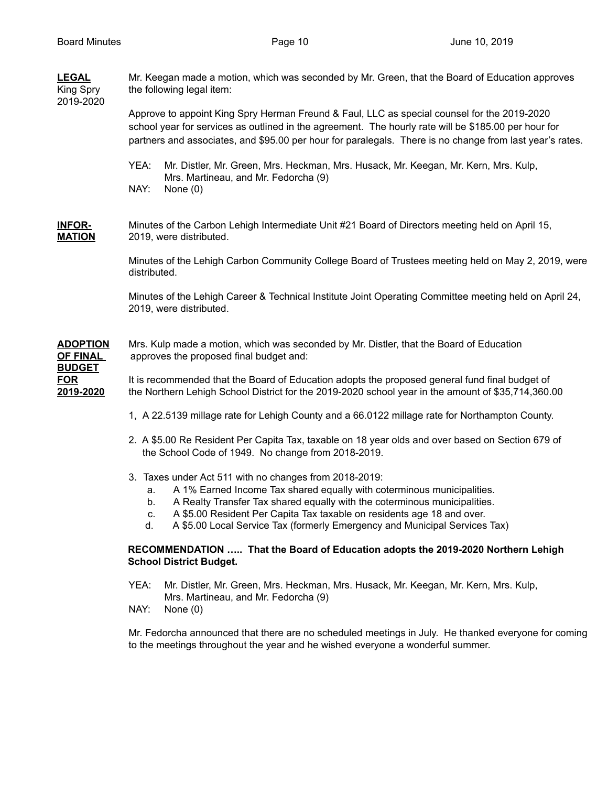| <b>LEGAL</b><br>King Spry<br>2019-2020                                         | Mr. Keegan made a motion, which was seconded by Mr. Green, that the Board of Education approves<br>the following legal item:                                                                                                                                                                                                                                                                  |  |  |
|--------------------------------------------------------------------------------|-----------------------------------------------------------------------------------------------------------------------------------------------------------------------------------------------------------------------------------------------------------------------------------------------------------------------------------------------------------------------------------------------|--|--|
|                                                                                | Approve to appoint King Spry Herman Freund & Faul, LLC as special counsel for the 2019-2020<br>school year for services as outlined in the agreement. The hourly rate will be \$185.00 per hour for<br>partners and associates, and \$95.00 per hour for paralegals. There is no change from last year's rates.                                                                               |  |  |
|                                                                                | YEA:<br>Mr. Distler, Mr. Green, Mrs. Heckman, Mrs. Husack, Mr. Keegan, Mr. Kern, Mrs. Kulp,<br>Mrs. Martineau, and Mr. Fedorcha (9)<br>NAY:<br>None $(0)$                                                                                                                                                                                                                                     |  |  |
| <b>INFOR-</b><br><b>MATION</b>                                                 | Minutes of the Carbon Lehigh Intermediate Unit #21 Board of Directors meeting held on April 15,<br>2019, were distributed.                                                                                                                                                                                                                                                                    |  |  |
|                                                                                | Minutes of the Lehigh Carbon Community College Board of Trustees meeting held on May 2, 2019, were<br>distributed.                                                                                                                                                                                                                                                                            |  |  |
|                                                                                | Minutes of the Lehigh Career & Technical Institute Joint Operating Committee meeting held on April 24,<br>2019, were distributed.                                                                                                                                                                                                                                                             |  |  |
| <b>ADOPTION</b><br><b>OF FINAL</b><br><b>BUDGET</b><br><b>FOR</b><br>2019-2020 | Mrs. Kulp made a motion, which was seconded by Mr. Distler, that the Board of Education<br>approves the proposed final budget and:                                                                                                                                                                                                                                                            |  |  |
|                                                                                | It is recommended that the Board of Education adopts the proposed general fund final budget of<br>the Northern Lehigh School District for the 2019-2020 school year in the amount of \$35,714,360.00                                                                                                                                                                                          |  |  |
|                                                                                | 1, A 22.5139 millage rate for Lehigh County and a 66.0122 millage rate for Northampton County.                                                                                                                                                                                                                                                                                                |  |  |
|                                                                                | 2. A \$5.00 Re Resident Per Capita Tax, taxable on 18 year olds and over based on Section 679 of<br>the School Code of 1949. No change from 2018-2019.                                                                                                                                                                                                                                        |  |  |
|                                                                                | 3. Taxes under Act 511 with no changes from 2018-2019:<br>A 1% Earned Income Tax shared equally with coterminous municipalities.<br>a.<br>A Realty Transfer Tax shared equally with the coterminous municipalities.<br>b.<br>A \$5.00 Resident Per Capita Tax taxable on residents age 18 and over.<br>C.<br>A \$5.00 Local Service Tax (formerly Emergency and Municipal Services Tax)<br>d. |  |  |
|                                                                                | RECOMMENDATION  That the Board of Education adopts the 2019-2020 Northern Lehigh<br><b>School District Budget.</b>                                                                                                                                                                                                                                                                            |  |  |
|                                                                                | YEA:<br>Mr. Distler, Mr. Green, Mrs. Heckman, Mrs. Husack, Mr. Keegan, Mr. Kern, Mrs. Kulp,                                                                                                                                                                                                                                                                                                   |  |  |

Mrs. Martineau, and Mr. Fedorcha (9) NAY: None (0)

Mr. Fedorcha announced that there are no scheduled meetings in July. He thanked everyone for coming to the meetings throughout the year and he wished everyone a wonderful summer.